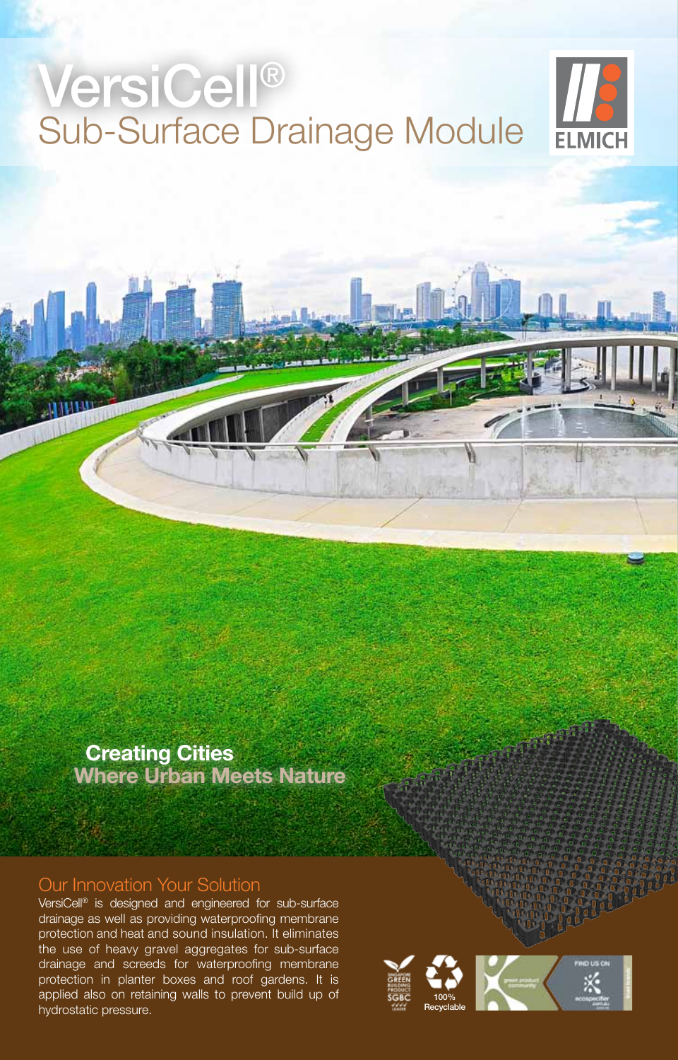## VersiCell® Sub-Surface Drainage Module



## **Creating Cities Where Urban Meets Nature**

#### Our Innovation Your Solution

VersiCell® is designed and engineered for sub-surface drainage as well as providing waterproofing membrane protection and heat and sound insulation. It eliminates the use of heavy gravel aggregates for sub-surface drainage and screeds for waterproofing membrane protection in planter boxes and roof gardens. It is applied also on retaining walls to prevent build up of hydrostatic pressure.

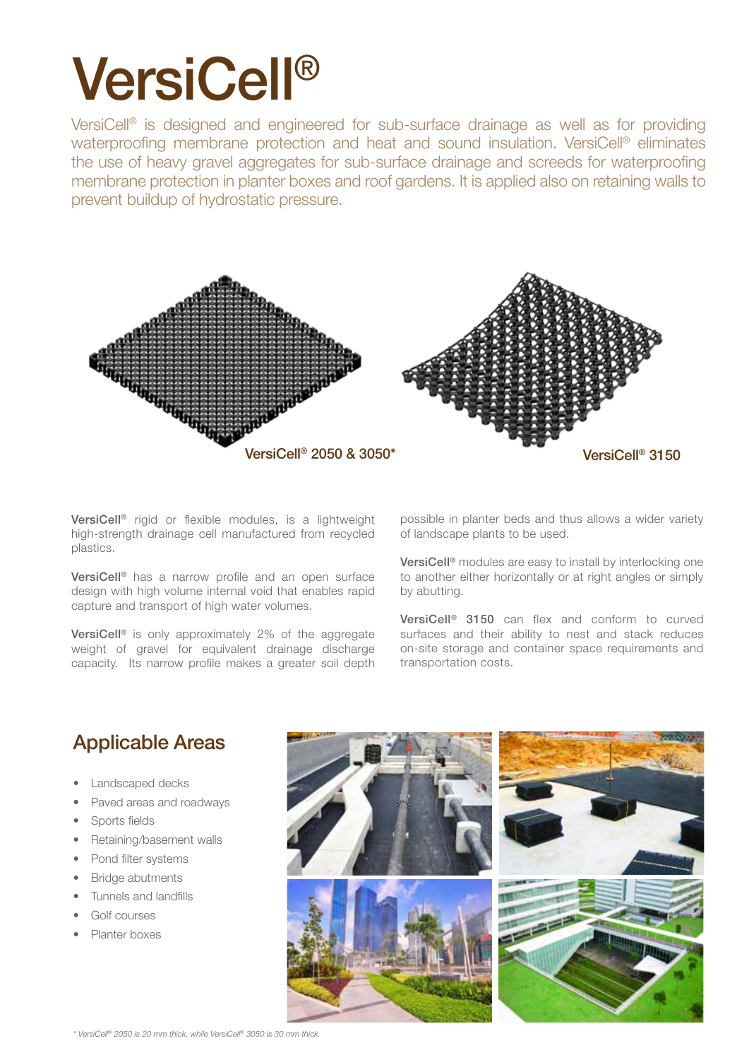# VersiCell®

VersiCell<sup>®</sup> is designed and engineered for sub-surface drainage as well as for providing waterproofing membrane protection and heat and sound insulation. VersiCell<sup>®</sup> eliminates the use of heavy gravel aggregates for sub-surface drainage and screeds for waterproofing membrane protection in planter boxes and roof gardens. It is applied also on retaining walls to prevent buildup of hydrostatic pressure.



VersiCell® rigid or flexible modules, is a lightweight high-strength drainage cell manufactured from recycled plastics.

VersiCell® has a narrow profile and an open surface design with high volume internal void that enables rapid capture and transport of high water volumes.

VersiCell<sup>®</sup> is only approximately 2% of the aggregate weight of gravel for equivalent drainage discharge capacity. Its narrow profile makes a greater soil depth possible in planter beds and thus allows a wider variety of landscape plants to be used.

VersiCell® modules are easy to install by interlocking one to another either horizontally or at right angles or simply by abutting.

VersiCell® 3150 can flex and conform to curved surfaces and their ability to nest and stack reduces on-site storage and container space requirements and transportation costs.

## Applicable Areas

- **Landscaped decks**
- Paved areas and roadways
- Sports fields
- Retaining/basement walls
- Pond filter systems
- **Bridge abutments**
- Tunnels and landfills
- Golf courses
- Planter hoxes

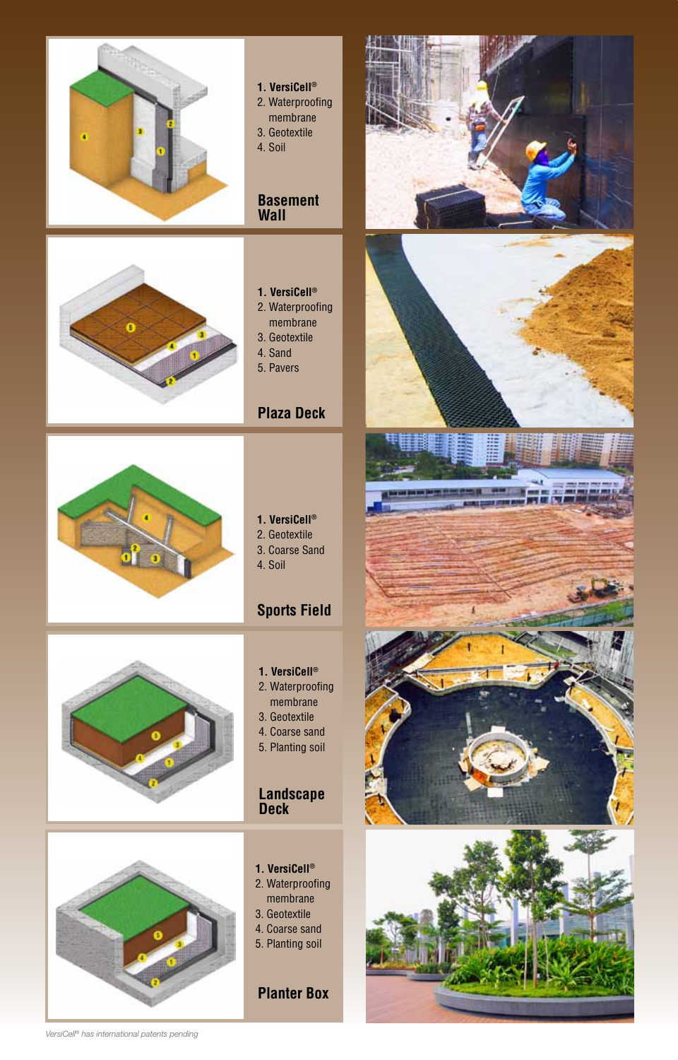